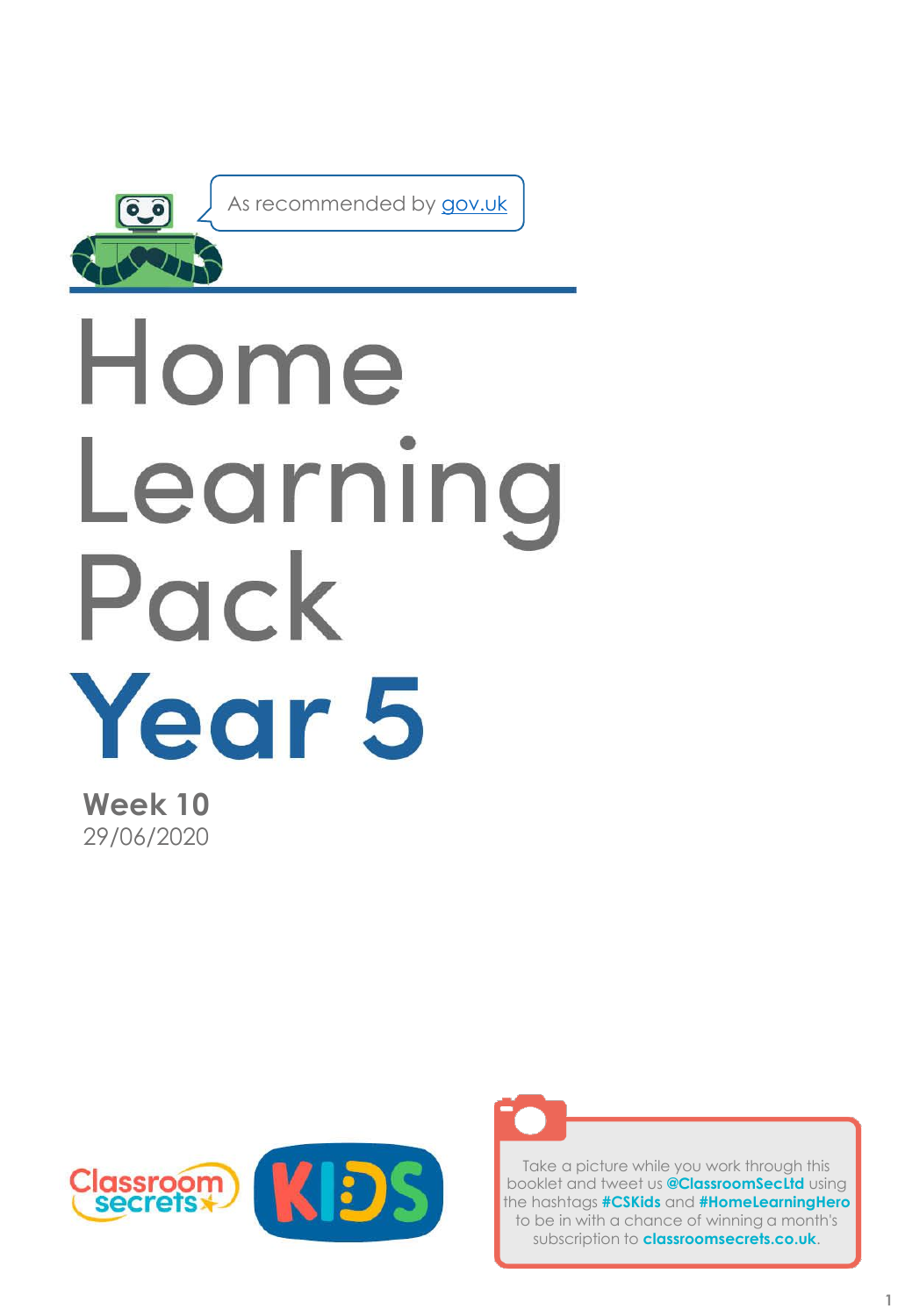

As recommended by [gov.uk](https://www.gov.uk/government/publications/coronavirus-covid-19-online-education-resources/coronavirus-covid-19-list-of-online-education-resources-for-home-education?)

# Home Learning Pack Year 5

**Week 10** 29/06/2020





Take a picture while you work through this booklet and tweet us **@ClassroomSecLtd** using the hashtags **#CSKids** and **#HomeLearningHero** to be in with a chance of winning a month's subscription to **classroomsecrets.co.uk**.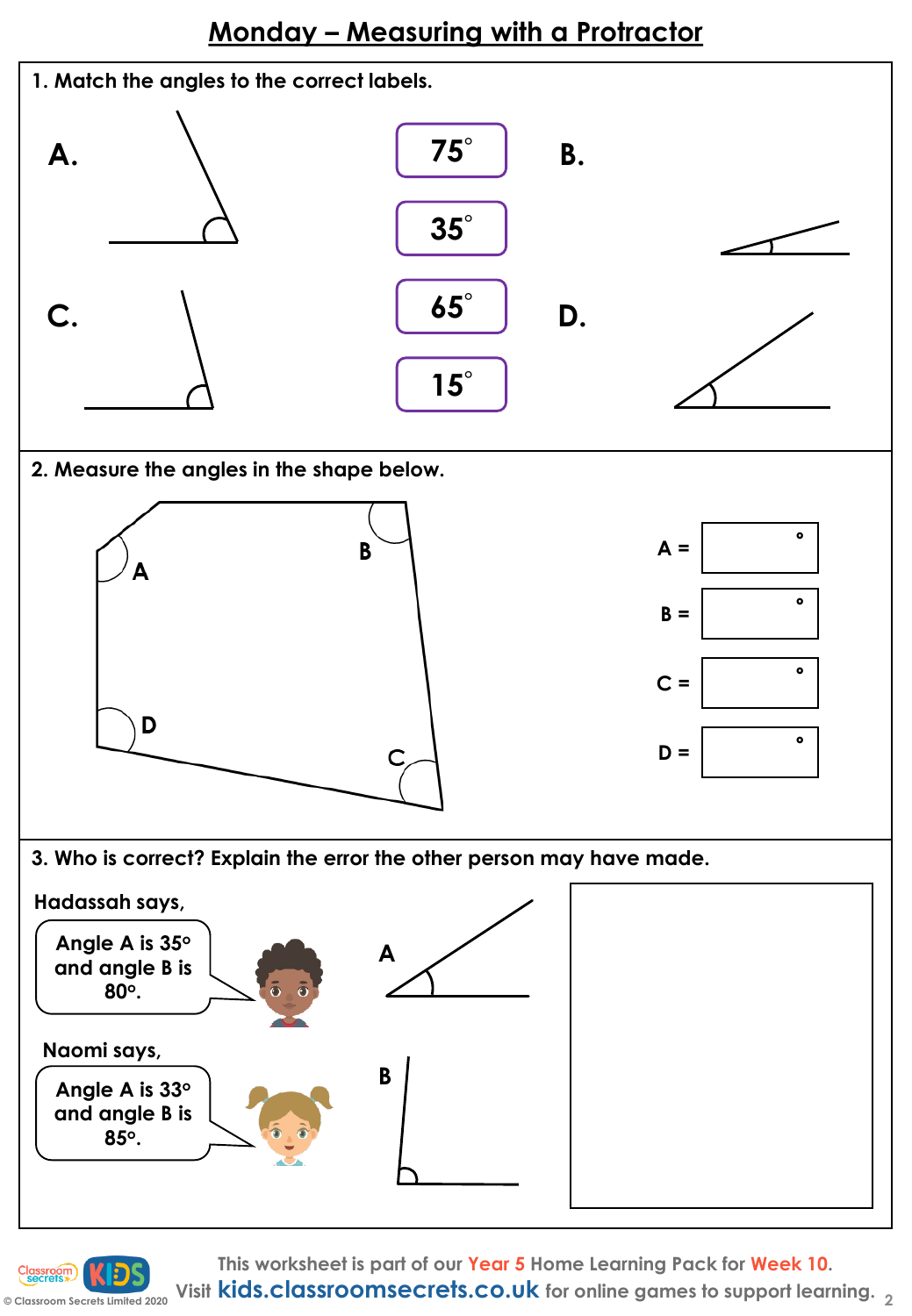# **Monday – Measuring with a Protractor**



**C** Classroom Secrets Limited 2020 Visit **kids.classroomsecrets.co.uk** for online games to support learning. 2 **This worksheet is part of our Year 5 Home Learning Pack for Week 10.**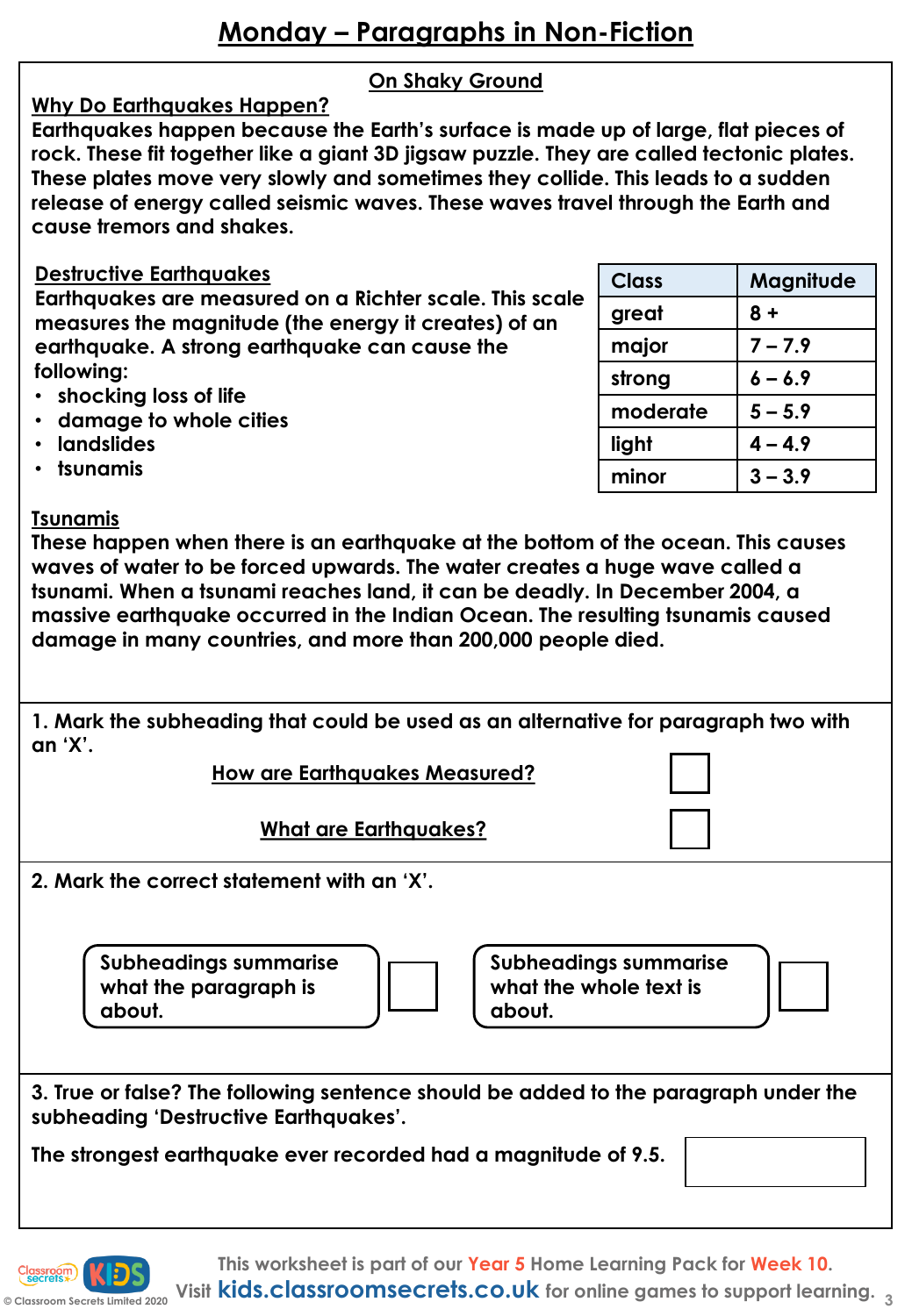## **On Shaky Ground**

**Why Do Earthquakes Happen? Earthquakes happen because the Earth's surface is made up of large, flat pieces of rock. These fit together like a giant 3D jigsaw puzzle. They are called tectonic plates. These plates move very slowly and sometimes they collide. This leads to a sudden release of energy called seismic waves. These waves travel through the Earth and cause tremors and shakes.**

### **Destructive Earthquakes**

**Earthquakes are measured on a Richter scale. This scale measures the magnitude (the energy it creates) of an earthquake. A strong earthquake can cause the following:**

- **shocking loss of life**
- **damage to whole cities**
- **landslides**
- **tsunamis**

#### **Tsunamis**

**These happen when there is an earthquake at the bottom of the ocean. This causes waves of water to be forced upwards. The water creates a huge wave called a tsunami. When a tsunami reaches land, it can be deadly. In December 2004, a massive earthquake occurred in the Indian Ocean. The resulting tsunamis caused damage in many countries, and more than 200,000 people died.**

**1. Mark the subheading that could be used as an alternative for paragraph two with an 'X'.**

**How are Earthquakes Measured?**

**What are Earthquakes?**

**2. Mark the correct statement with an 'X'.** 

**Subheadings summarise what the paragraph is about.**



**Subheadings summarise what the whole text is about.**

**3. True or false? The following sentence should be added to the paragraph under the subheading 'Destructive Earthquakes'.**

**The strongest earthquake ever recorded had a magnitude of 9.5.**



| <b>Class</b> | Magnitude |
|--------------|-----------|
| great        | $8 +$     |
| major        | $7 - 7.9$ |
| strong       | $6 - 6.9$ |
| moderate     | $5 - 5.9$ |
| light        | $4 - 4.9$ |
| minor        | $3 - 3.9$ |
|              |           |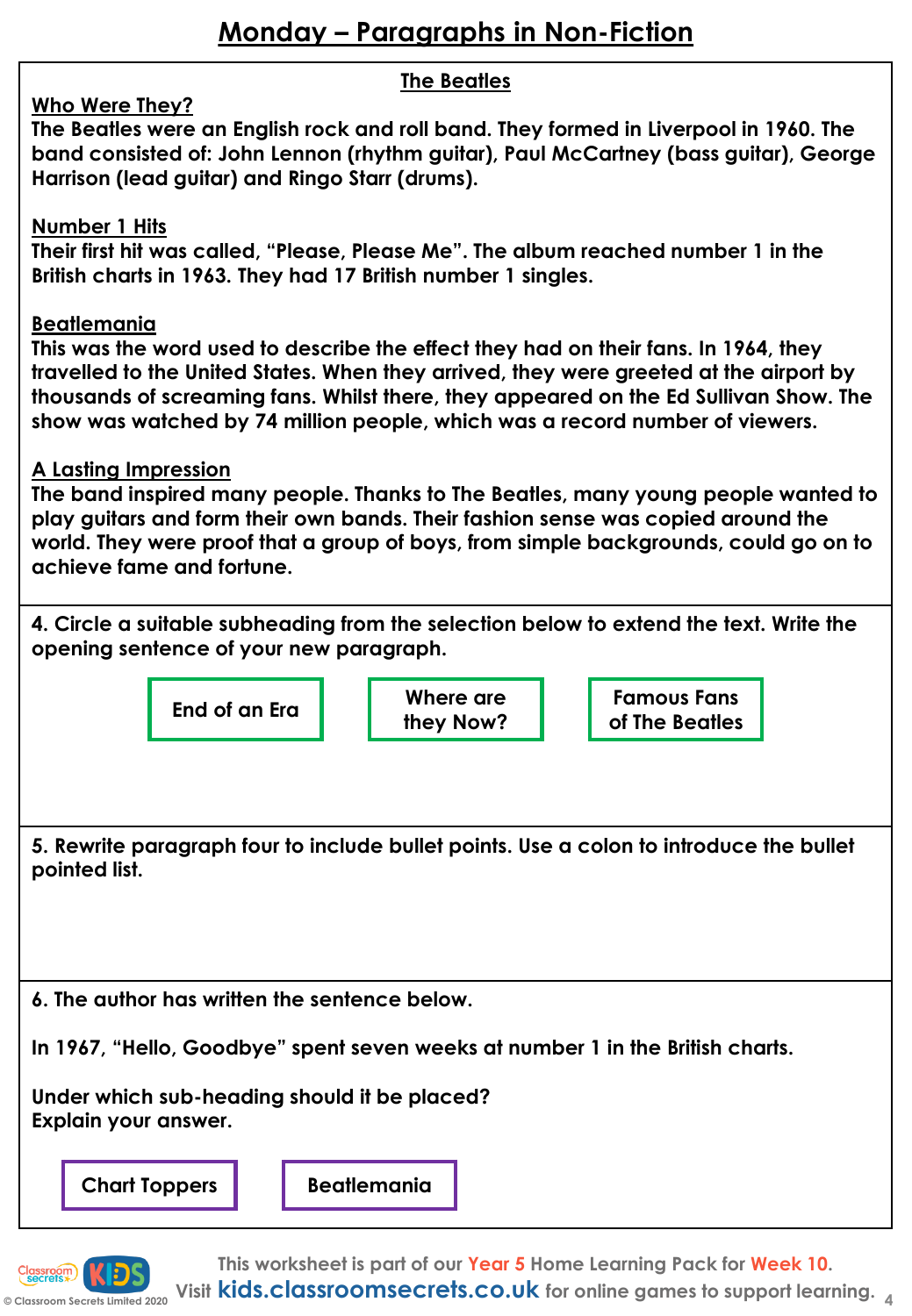|                                                                                                                                                                                                                                                                                                                                                                              |                                                                                                                                                                                                                                                    |  | <b>The Beatles</b>     |  |  |                                      |  |
|------------------------------------------------------------------------------------------------------------------------------------------------------------------------------------------------------------------------------------------------------------------------------------------------------------------------------------------------------------------------------|----------------------------------------------------------------------------------------------------------------------------------------------------------------------------------------------------------------------------------------------------|--|------------------------|--|--|--------------------------------------|--|
|                                                                                                                                                                                                                                                                                                                                                                              | Who Were They?<br>The Beatles were an English rock and roll band. They formed in Liverpool in 1960. The<br>band consisted of: John Lennon (rhythm guitar), Paul McCartney (bass guitar), George<br>Harrison (lead guitar) and Ringo Starr (drums). |  |                        |  |  |                                      |  |
|                                                                                                                                                                                                                                                                                                                                                                              | <b>Number 1 Hits</b><br>Their first hit was called, "Please, Please Me". The album reached number 1 in the<br>British charts in 1963. They had 17 British number 1 singles.                                                                        |  |                        |  |  |                                      |  |
| <b>Beatlemania</b><br>This was the word used to describe the effect they had on their fans. In 1964, they<br>travelled to the United States. When they arrived, they were greeted at the airport by<br>thousands of screaming fans. Whilst there, they appeared on the Ed Sullivan Show. The<br>show was watched by 74 million people, which was a record number of viewers. |                                                                                                                                                                                                                                                    |  |                        |  |  |                                      |  |
| A Lasting Impression<br>The band inspired many people. Thanks to The Beatles, many young people wanted to<br>play guitars and form their own bands. Their fashion sense was copied around the<br>world. They were proof that a group of boys, from simple backgrounds, could go on to<br>achieve fame and fortune.                                                           |                                                                                                                                                                                                                                                    |  |                        |  |  |                                      |  |
| 4. Circle a suitable subheading from the selection below to extend the text. Write the<br>opening sentence of your new paragraph.                                                                                                                                                                                                                                            |                                                                                                                                                                                                                                                    |  |                        |  |  |                                      |  |
|                                                                                                                                                                                                                                                                                                                                                                              | End of an Era                                                                                                                                                                                                                                      |  | Where are<br>they Now? |  |  | <b>Famous Fans</b><br>of The Beatles |  |
|                                                                                                                                                                                                                                                                                                                                                                              |                                                                                                                                                                                                                                                    |  |                        |  |  |                                      |  |
| 5. Rewrite paragraph four to include bullet points. Use a colon to introduce the bullet<br>pointed list.                                                                                                                                                                                                                                                                     |                                                                                                                                                                                                                                                    |  |                        |  |  |                                      |  |
| 6. The author has written the sentence below.                                                                                                                                                                                                                                                                                                                                |                                                                                                                                                                                                                                                    |  |                        |  |  |                                      |  |
| In 1967, "Hello, Goodbye" spent seven weeks at number 1 in the British charts.                                                                                                                                                                                                                                                                                               |                                                                                                                                                                                                                                                    |  |                        |  |  |                                      |  |
| Under which sub-heading should it be placed?<br>Explain your answer.                                                                                                                                                                                                                                                                                                         |                                                                                                                                                                                                                                                    |  |                        |  |  |                                      |  |
| <b>Beatlemania</b><br><b>Chart Toppers</b>                                                                                                                                                                                                                                                                                                                                   |                                                                                                                                                                                                                                                    |  |                        |  |  |                                      |  |
|                                                                                                                                                                                                                                                                                                                                                                              |                                                                                                                                                                                                                                                    |  |                        |  |  |                                      |  |

**© Classroom Secrets Limited 2020 Visit kids.classroomsecrets.co.uk for online games to support learning. <sup>4</sup>This worksheet is part of our Year 5 Home Learning Pack for Week 10.**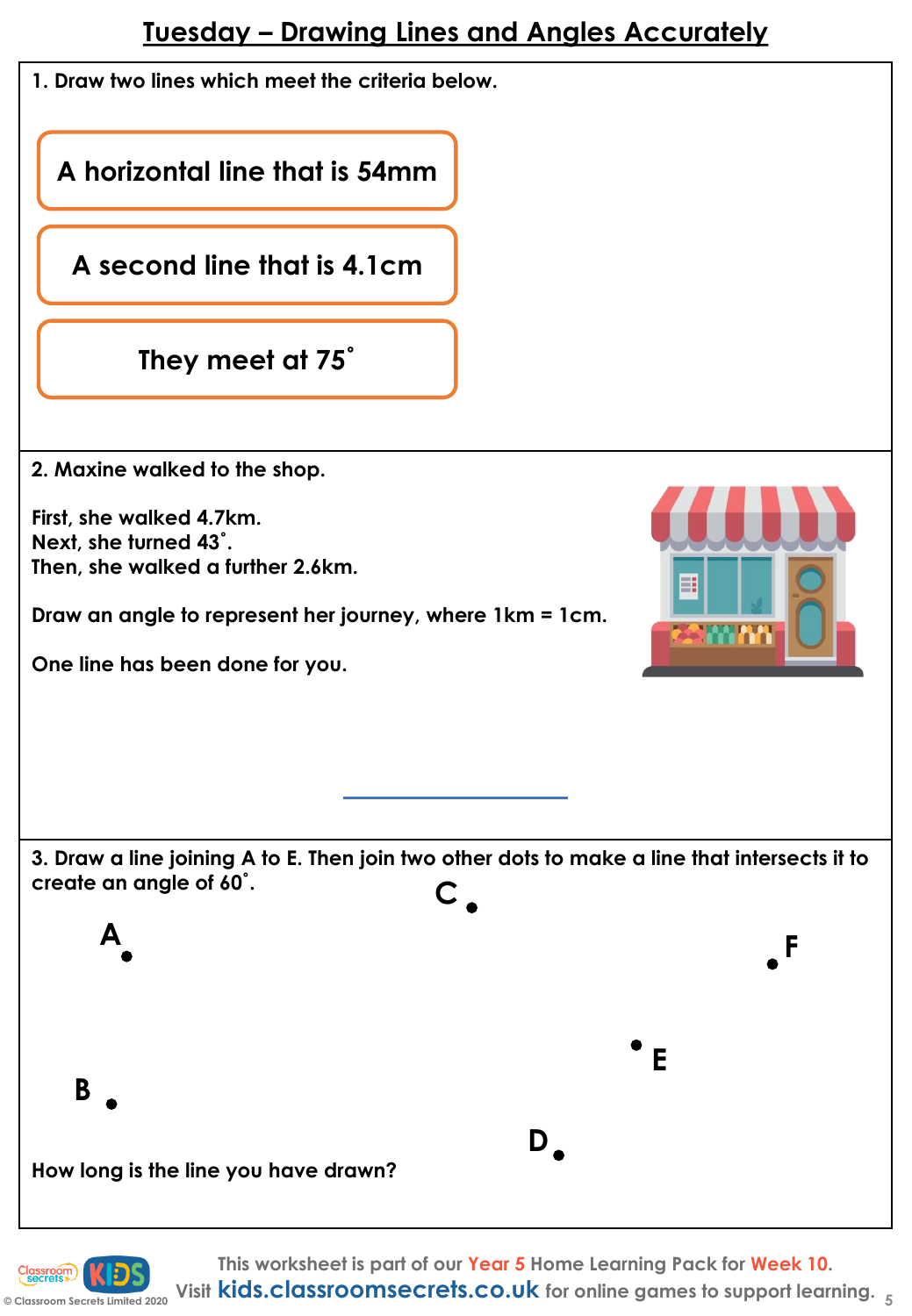## **Tuesday – Drawing Lines and Angles Accurately**

|  |  |  |  |  |  |  | 1. Draw two lines which meet the criteria below. |
|--|--|--|--|--|--|--|--------------------------------------------------|
|--|--|--|--|--|--|--|--------------------------------------------------|

**A horizontal line that is 54mm**

**A second line that is 4.1cm** 

**They meet at 75˚**

**2. Maxine walked to the shop.** 

**First, she walked 4.7km. Next, she turned 43˚. Then, she walked a further 2.6km.** 

**Draw an angle to represent her journey, where 1km = 1cm.** 

**One line has been done for you.** 



**3. Draw a line joining A to E. Then join two other dots to make a line that intersects it to create an angle of 60˚. C**



**This worksheet is part of our Year 5 Home Learning Pack for Week 10.**

**© Classroom Secrets Limited 2020 Visit kids.classroomsecrets.co.uk for online games to support learning. <sup>5</sup>**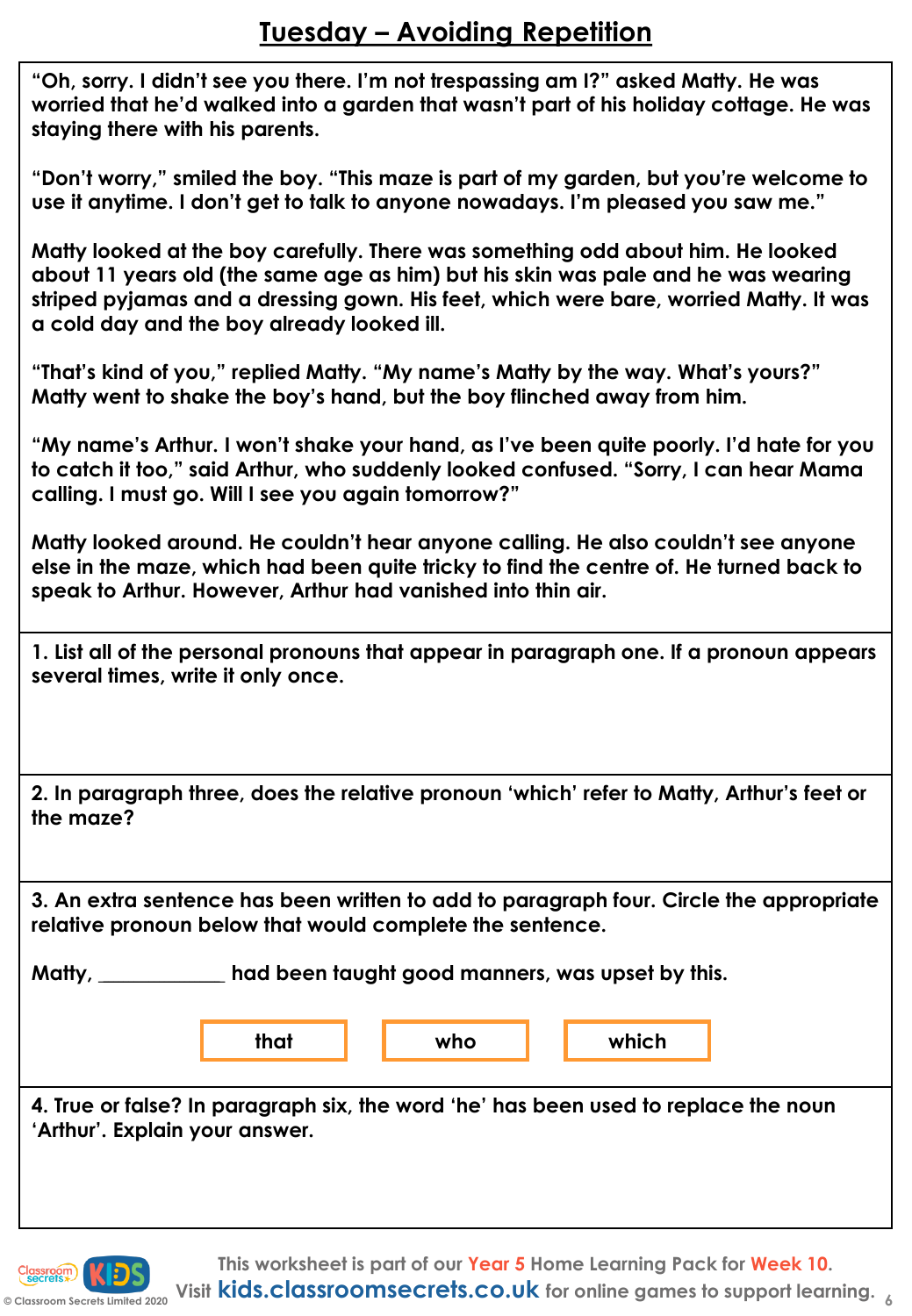**"Oh, sorry. I didn't see you there. I'm not trespassing am I?" asked Matty. He was worried that he'd walked into a garden that wasn't part of his holiday cottage. He was staying there with his parents.**

**"Don't worry," smiled the boy. "This maze is part of my garden, but you're welcome to use it anytime. I don't get to talk to anyone nowadays. I'm pleased you saw me."**

**Matty looked at the boy carefully. There was something odd about him. He looked about 11 years old (the same age as him) but his skin was pale and he was wearing striped pyjamas and a dressing gown. His feet, which were bare, worried Matty. It was a cold day and the boy already looked ill.** 

**"That's kind of you," replied Matty. "My name's Matty by the way. What's yours?" Matty went to shake the boy's hand, but the boy flinched away from him.**

**"My name's Arthur. I won't shake your hand, as I've been quite poorly. I'd hate for you to catch it too," said Arthur, who suddenly looked confused. "Sorry, I can hear Mama calling. I must go. Will I see you again tomorrow?"**

**Matty looked around. He couldn't hear anyone calling. He also couldn't see anyone else in the maze, which had been quite tricky to find the centre of. He turned back to speak to Arthur. However, Arthur had vanished into thin air.**

**1. List all of the personal pronouns that appear in paragraph one. If a pronoun appears several times, write it only once.**

**2. In paragraph three, does the relative pronoun 'which' refer to Matty, Arthur's feet or the maze?**

**3. An extra sentence has been written to add to paragraph four. Circle the appropriate relative pronoun below that would complete the sentence.** 

**Matty, \_\_\_\_\_\_\_\_\_\_\_\_\_\_\_\_\_\_\_\_\_\_\_\_ had been taught good manners, was upset by this.**

**that who which**

**4. True or false? In paragraph six, the word 'he' has been used to replace the noun 'Arthur'. Explain your answer.**

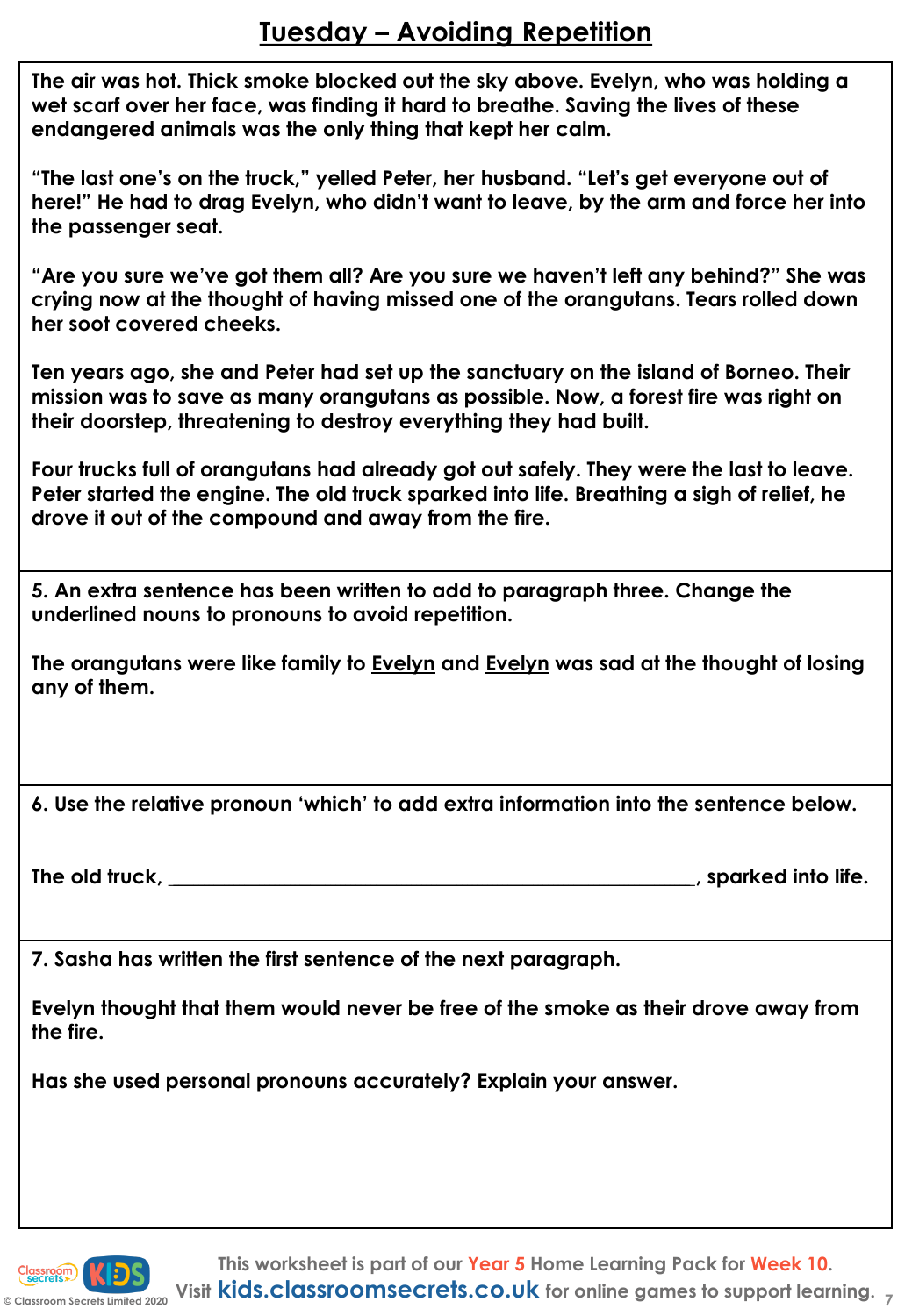# **Tuesday – Avoiding Repetition**

**The air was hot. Thick smoke blocked out the sky above. Evelyn, who was holding a wet scarf over her face, was finding it hard to breathe. Saving the lives of these endangered animals was the only thing that kept her calm.** 

**"The last one's on the truck," yelled Peter, her husband. "Let's get everyone out of here!" He had to drag Evelyn, who didn't want to leave, by the arm and force her into the passenger seat.**

**"Are you sure we've got them all? Are you sure we haven't left any behind?" She was crying now at the thought of having missed one of the orangutans. Tears rolled down her soot covered cheeks.**

**Ten years ago, she and Peter had set up the sanctuary on the island of Borneo. Their mission was to save as many orangutans as possible. Now, a forest fire was right on their doorstep, threatening to destroy everything they had built.**

**Four trucks full of orangutans had already got out safely. They were the last to leave. Peter started the engine. The old truck sparked into life. Breathing a sigh of relief, he drove it out of the compound and away from the fire.**

**5. An extra sentence has been written to add to paragraph three. Change the underlined nouns to pronouns to avoid repetition.**

**The orangutans were like family to Evelyn and Evelyn was sad at the thought of losing any of them.**

**6. Use the relative pronoun 'which' to add extra information into the sentence below.** 

**The old truck, \_\_\_\_\_\_\_\_\_\_\_\_\_\_\_\_\_\_\_\_\_\_\_\_\_\_\_\_\_\_\_\_\_\_\_\_\_\_\_\_\_\_\_\_\_\_\_\_\_\_\_\_\_\_\_\_\_\_\_\_\_\_\_\_\_\_\_\_\_\_\_\_\_\_\_\_\_\_\_\_\_\_\_\_\_\_\_\_\_\_\_\_\_\_\_\_\_\_\_\_\_\_\_, sparked into life.**

**7. Sasha has written the first sentence of the next paragraph.**

**Evelyn thought that them would never be free of the smoke as their drove away from the fire.**

**Has she used personal pronouns accurately? Explain your answer.**

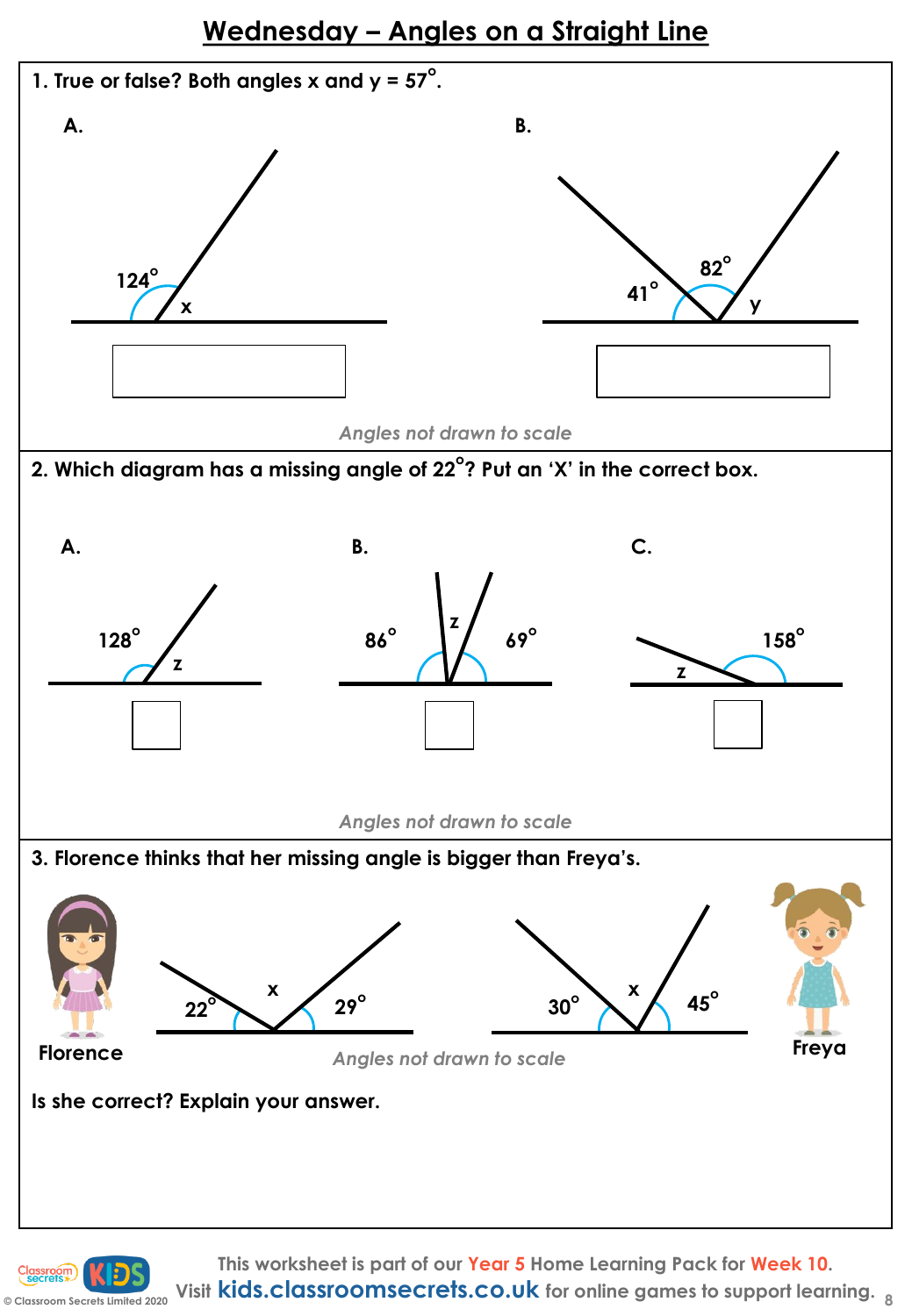## **Wednesday – Angles on a Straight Line**



**© Classroom Secrets Limited 2020 Visit kids.classroomsecrets.co.uk for online games to support learning. <sup>8</sup>**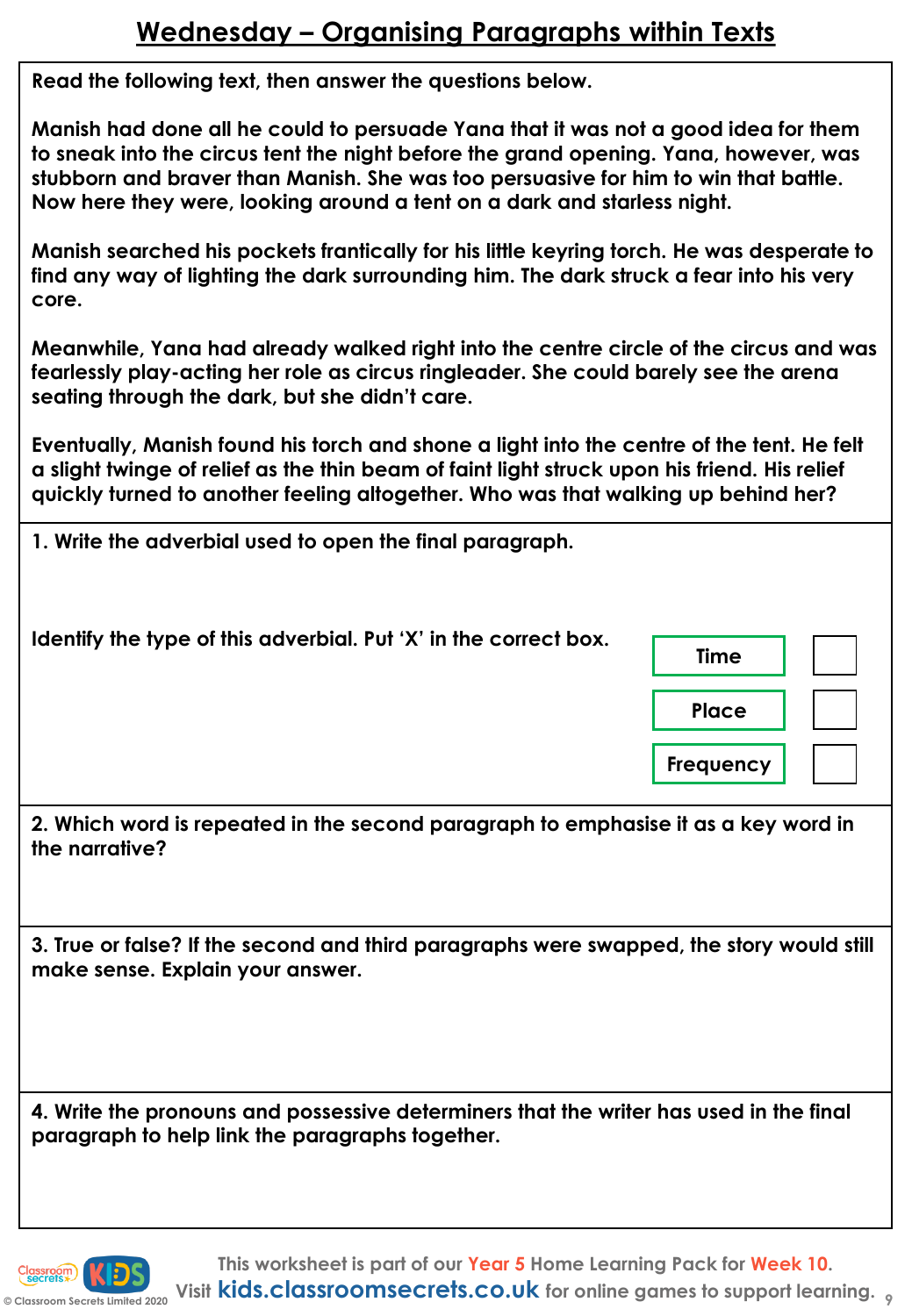# **Wednesday – Organising Paragraphs within Texts**

**Read the following text, then answer the questions below.** 

**Manish had done all he could to persuade Yana that it was not a good idea for them to sneak into the circus tent the night before the grand opening. Yana, however, was stubborn and braver than Manish. She was too persuasive for him to win that battle. Now here they were, looking around a tent on a dark and starless night.** 

**Manish searched his pockets frantically for his little keyring torch. He was desperate to find any way of lighting the dark surrounding him. The dark struck a fear into his very core.**

**Meanwhile, Yana had already walked right into the centre circle of the circus and was fearlessly play-acting her role as circus ringleader. She could barely see the arena seating through the dark, but she didn't care.** 

**Eventually, Manish found his torch and shone a light into the centre of the tent. He felt a slight twinge of relief as the thin beam of faint light struck upon his friend. His relief quickly turned to another feeling altogether. Who was that walking up behind her?**

| 1. Write the adverbial used to open the final paragraph.                                             |              |
|------------------------------------------------------------------------------------------------------|--------------|
| Identify the type of this adverbial. Put 'X' in the correct box.                                     | <b>Time</b>  |
|                                                                                                      | <b>Place</b> |
|                                                                                                      | Frequency    |
| 2. Which word is repeated in the second paragraph to emphasise it as a key word in<br>the narrative? |              |
|                                                                                                      |              |

**3. True or false? If the second and third paragraphs were swapped, the story would still make sense. Explain your answer.**

**4. Write the pronouns and possessive determiners that the writer has used in the final paragraph to help link the paragraphs together.**

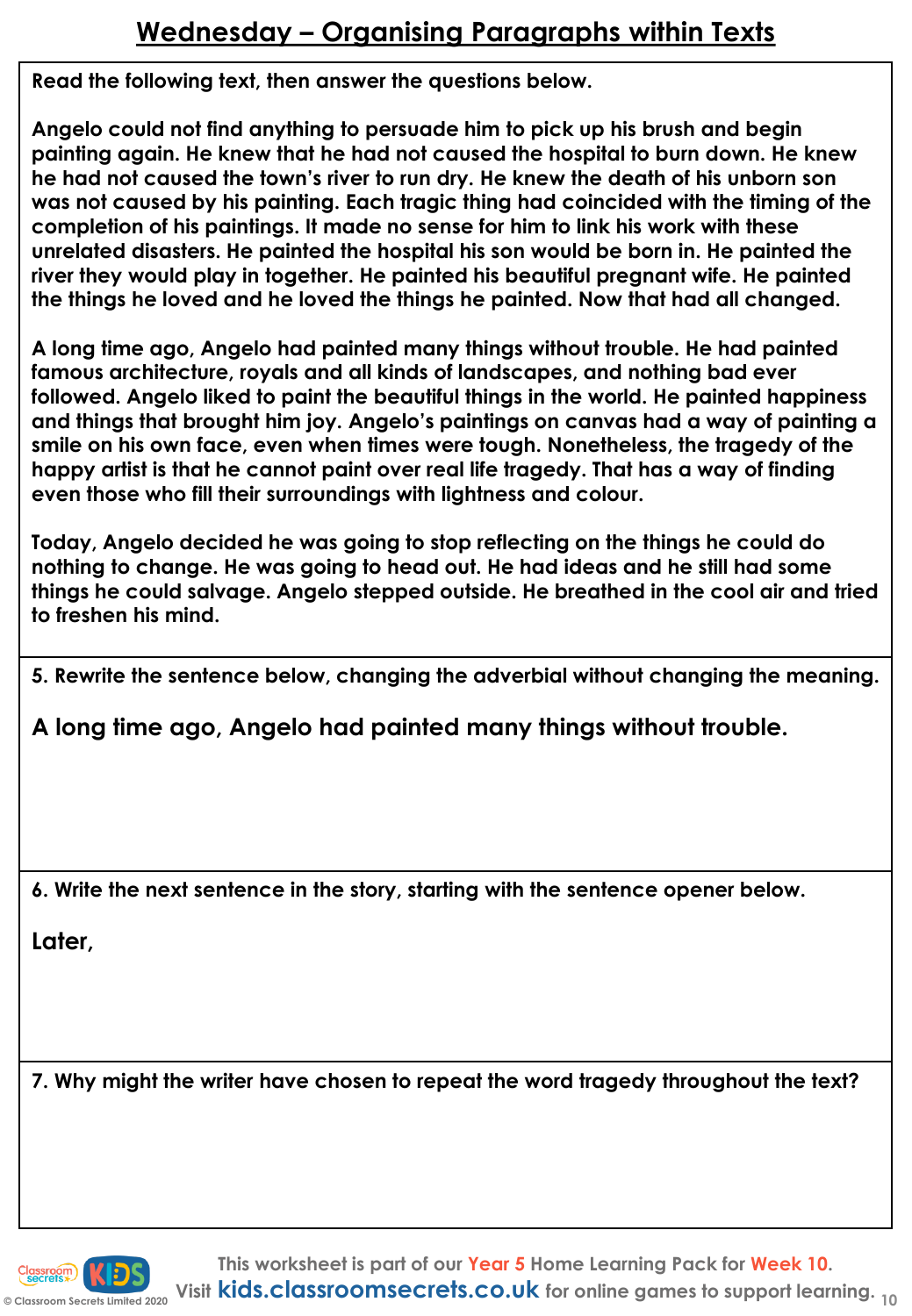# **Wednesday – Organising Paragraphs within Texts**

**Read the following text, then answer the questions below.** 

**Angelo could not find anything to persuade him to pick up his brush and begin painting again. He knew that he had not caused the hospital to burn down. He knew he had not caused the town's river to run dry. He knew the death of his unborn son was not caused by his painting. Each tragic thing had coincided with the timing of the completion of his paintings. It made no sense for him to link his work with these unrelated disasters. He painted the hospital his son would be born in. He painted the river they would play in together. He painted his beautiful pregnant wife. He painted the things he loved and he loved the things he painted. Now that had all changed.**

**A long time ago, Angelo had painted many things without trouble. He had painted famous architecture, royals and all kinds of landscapes, and nothing bad ever followed. Angelo liked to paint the beautiful things in the world. He painted happiness and things that brought him joy. Angelo's paintings on canvas had a way of painting a smile on his own face, even when times were tough. Nonetheless, the tragedy of the happy artist is that he cannot paint over real life tragedy. That has a way of finding even those who fill their surroundings with lightness and colour.**

**Today, Angelo decided he was going to stop reflecting on the things he could do nothing to change. He was going to head out. He had ideas and he still had some things he could salvage. Angelo stepped outside. He breathed in the cool air and tried to freshen his mind.**

**5. Rewrite the sentence below, changing the adverbial without changing the meaning.**

**A long time ago, Angelo had painted many things without trouble.**

**6. Write the next sentence in the story, starting with the sentence opener below.**

**Later,**

**7. Why might the writer have chosen to repeat the word tragedy throughout the text?**

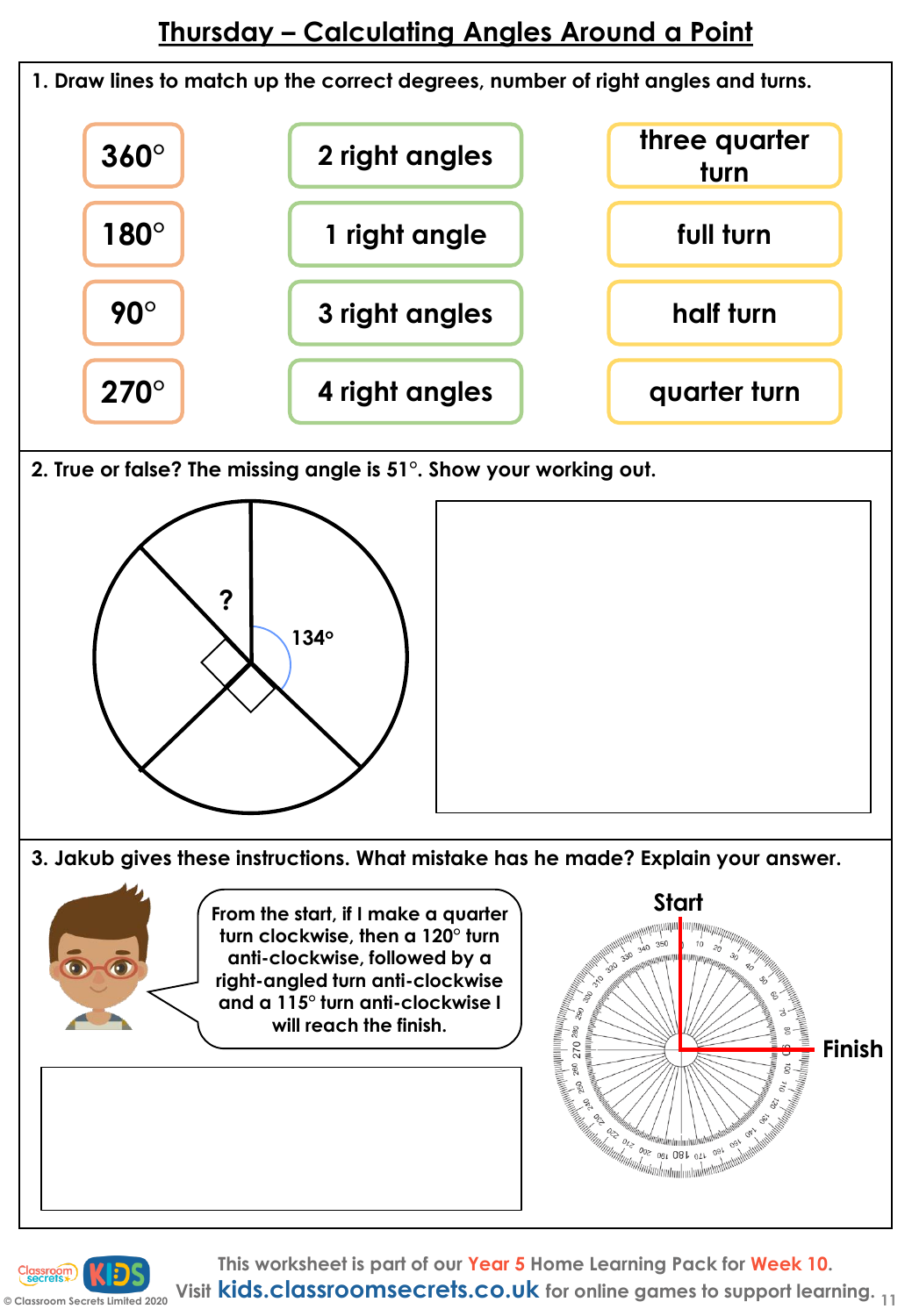

**This worksheet is part of our Year 5 Home Learning Pack for Week 10.**

**Visit kids.classroomsecrets.co.uk for online games to support learning. <sup>11</sup>**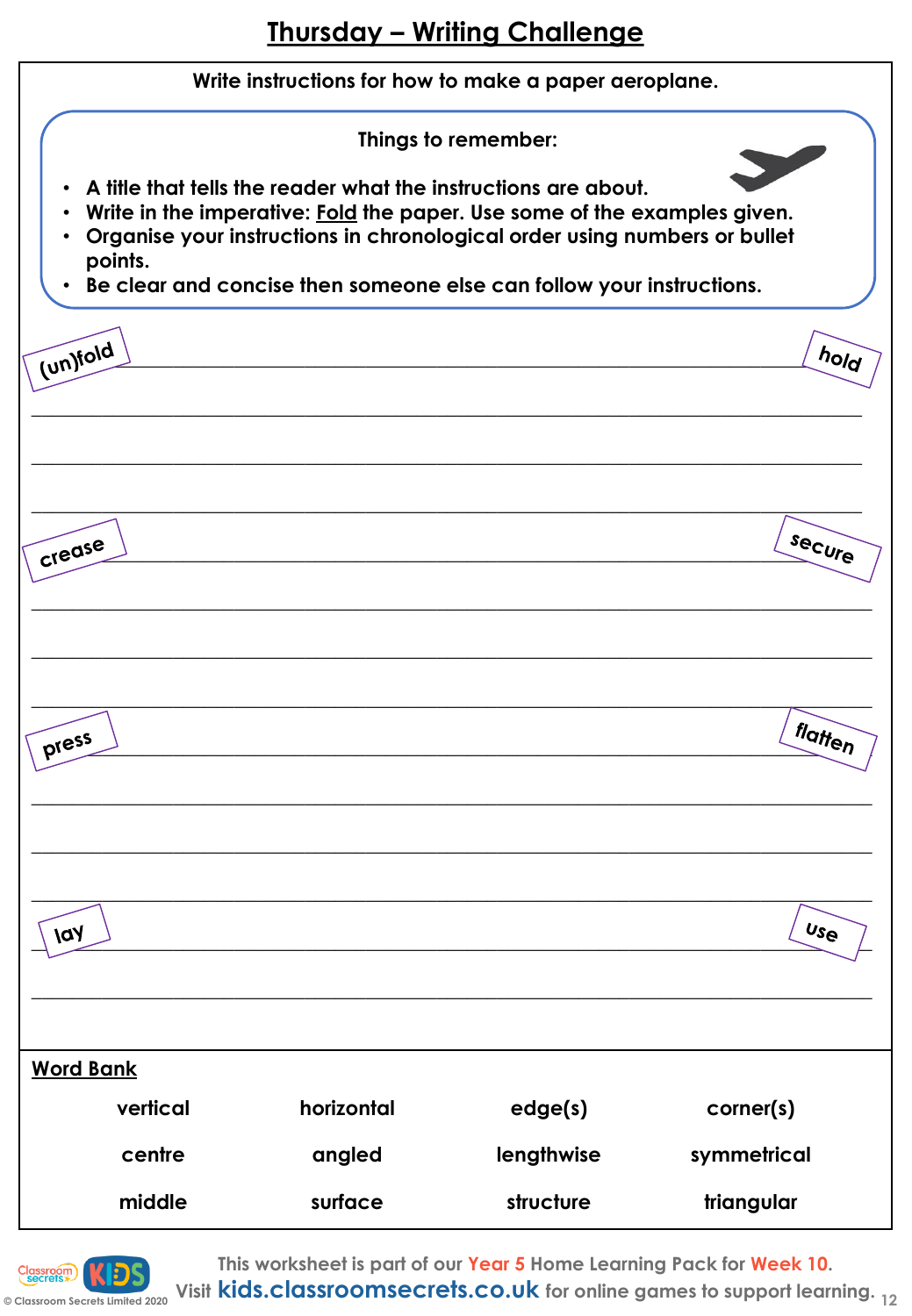

![](_page_11_Picture_2.jpeg)

**This worksheet is part of our Year 5 Home Learning Pack for Week 10.**

**© Classroom Secrets Limited 2020 Visit kids.classroomsecrets.co.uk for online games to support learning. <sup>12</sup>**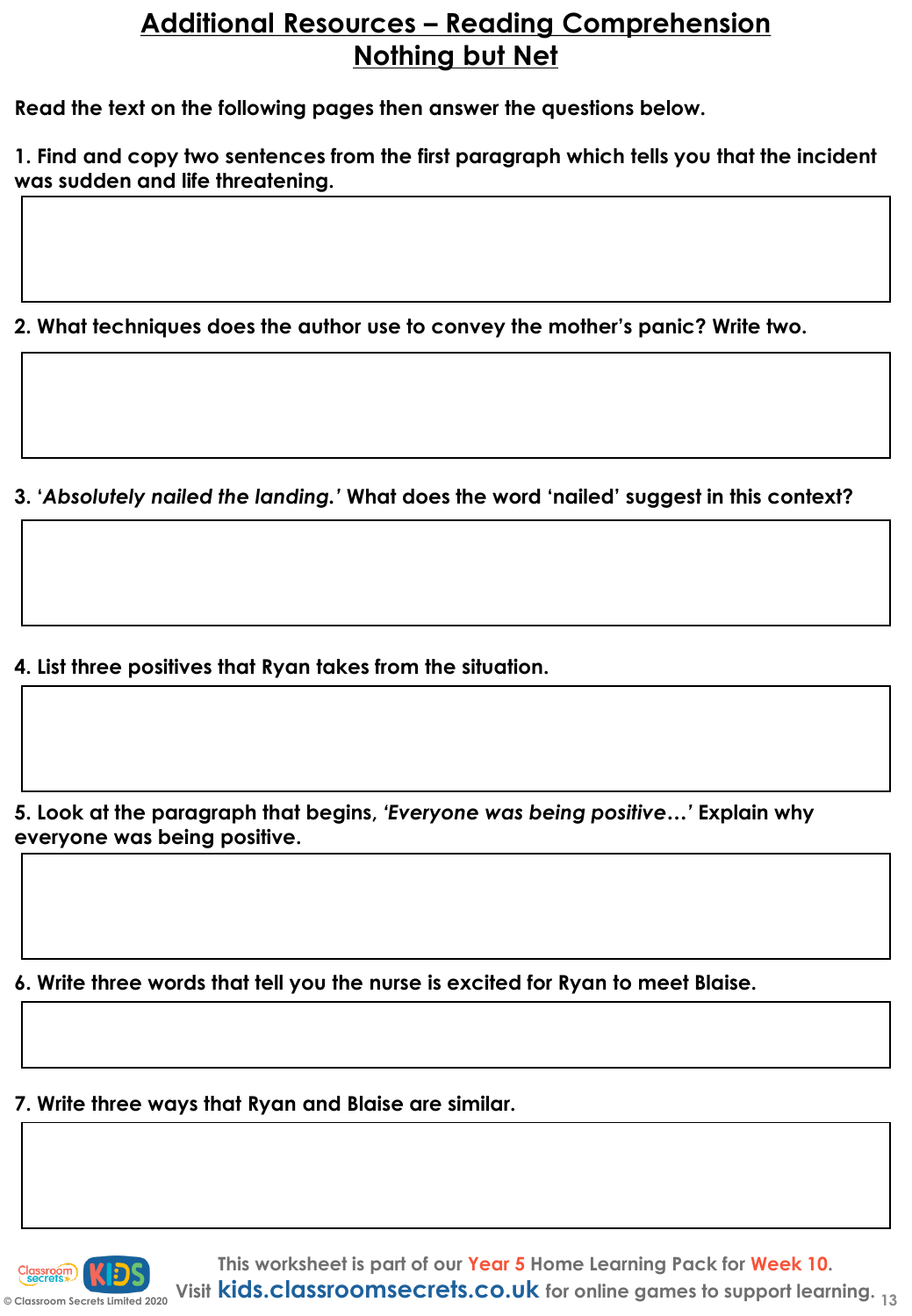# **Additional Resources – Reading Comprehension Nothing but Net**

**Read the text on the following pages then answer the questions below.**

**1. Find and copy two sentences from the first paragraph which tells you that the incident was sudden and life threatening.**

**2. What techniques does the author use to convey the mother's panic? Write two.**

**3. '***Absolutely nailed the landing.'* **What does the word 'nailed' suggest in this context?**

**4. List three positives that Ryan takes from the situation.**

**5. Look at the paragraph that begins,** *'Everyone was being positive…'* **Explain why everyone was being positive.**

**6. Write three words that tell you the nurse is excited for Ryan to meet Blaise.**

**7. Write three ways that Ryan and Blaise are similar.**

![](_page_12_Picture_9.jpeg)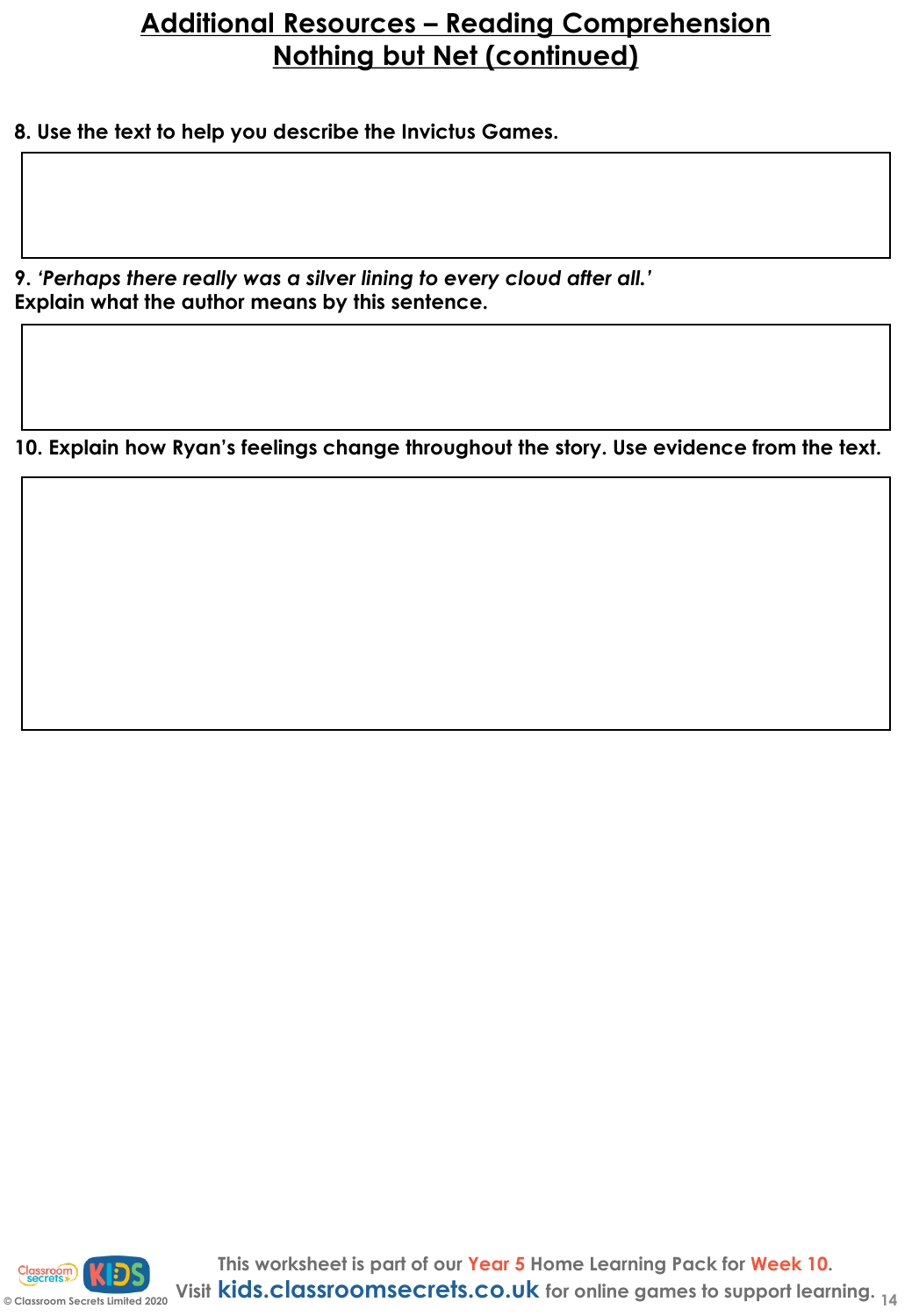# **Additional Resources – Reading Comprehension Nothing but Net (continued)**

**8. Use the text to help you describe the Invictus Games.**

**9.** *'Perhaps there really was a silver lining to every cloud after all.'* **Explain what the author means by this sentence.**

**10. Explain how Ryan's feelings change throughout the story. Use evidence from the text.**

![](_page_13_Picture_4.jpeg)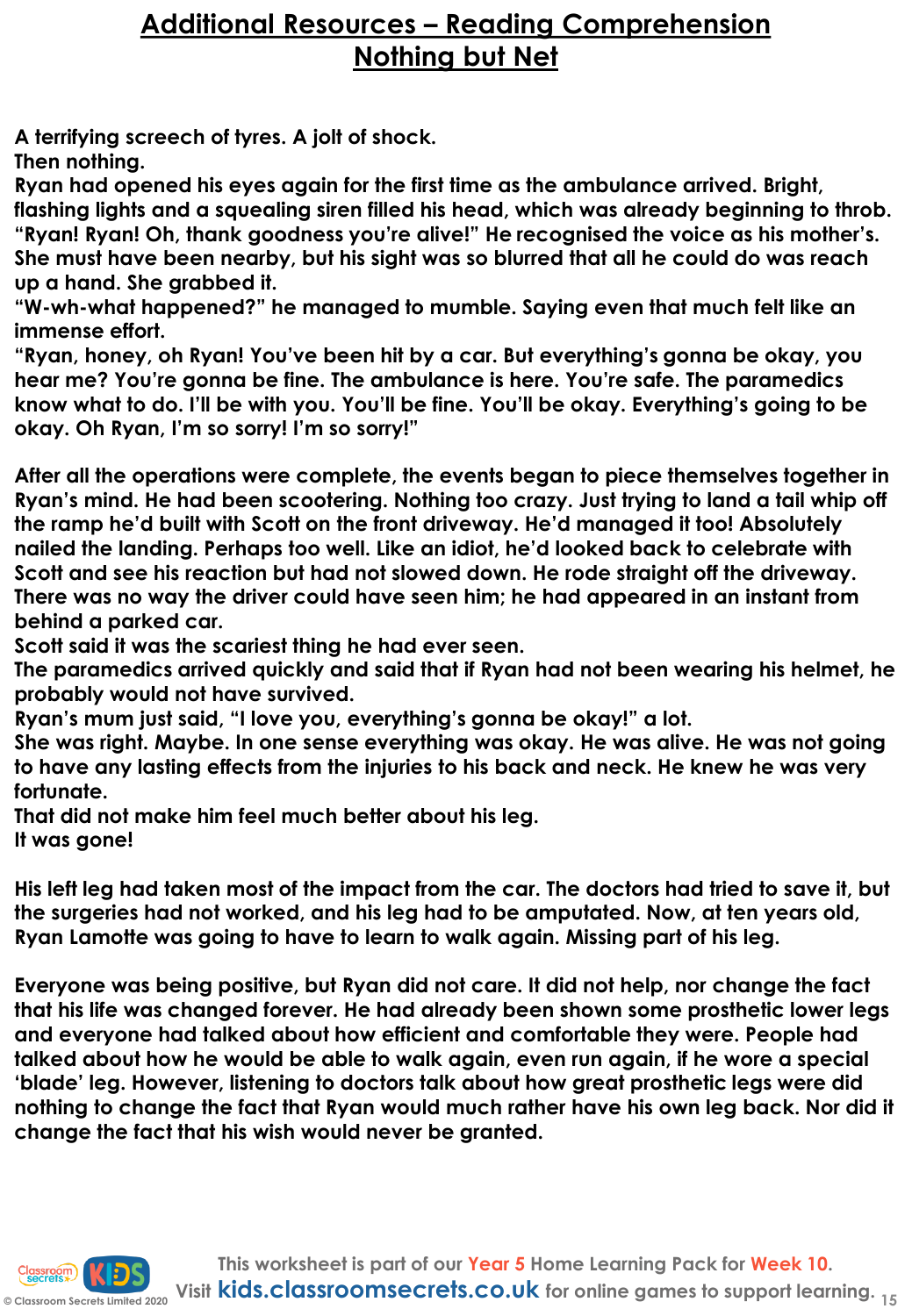# **Additional Resources – Reading Comprehension Nothing but Net**

**A terrifying screech of tyres. A jolt of shock.**

**Then nothing.**

**Ryan had opened his eyes again for the first time as the ambulance arrived. Bright, flashing lights and a squealing siren filled his head, which was already beginning to throb. "Ryan! Ryan! Oh, thank goodness you're alive!" He recognised the voice as his mother's. She must have been nearby, but his sight was so blurred that all he could do was reach up a hand. She grabbed it.**

**"W-wh-what happened?" he managed to mumble. Saying even that much felt like an immense effort.**

**"Ryan, honey, oh Ryan! You've been hit by a car. But everything's gonna be okay, you hear me? You're gonna be fine. The ambulance is here. You're safe. The paramedics know what to do. I'll be with you. You'll be fine. You'll be okay. Everything's going to be okay. Oh Ryan, I'm so sorry! I'm so sorry!"**

**After all the operations were complete, the events began to piece themselves together in Ryan's mind. He had been scootering. Nothing too crazy. Just trying to land a tail whip off the ramp he'd built with Scott on the front driveway. He'd managed it too! Absolutely nailed the landing. Perhaps too well. Like an idiot, he'd looked back to celebrate with Scott and see his reaction but had not slowed down. He rode straight off the driveway. There was no way the driver could have seen him; he had appeared in an instant from behind a parked car.**

**Scott said it was the scariest thing he had ever seen.**

**The paramedics arrived quickly and said that if Ryan had not been wearing his helmet, he probably would not have survived.**

**Ryan's mum just said, "I love you, everything's gonna be okay!" a lot.**

**She was right. Maybe. In one sense everything was okay. He was alive. He was not going to have any lasting effects from the injuries to his back and neck. He knew he was very fortunate.**

**That did not make him feel much better about his leg.**

**It was gone!**

**His left leg had taken most of the impact from the car. The doctors had tried to save it, but the surgeries had not worked, and his leg had to be amputated. Now, at ten years old, Ryan Lamotte was going to have to learn to walk again. Missing part of his leg.**

**Everyone was being positive, but Ryan did not care. It did not help, nor change the fact that his life was changed forever. He had already been shown some prosthetic lower legs and everyone had talked about how efficient and comfortable they were. People had talked about how he would be able to walk again, even run again, if he wore a special 'blade' leg. However, listening to doctors talk about how great prosthetic legs were did nothing to change the fact that Ryan would much rather have his own leg back. Nor did it change the fact that his wish would never be granted.**